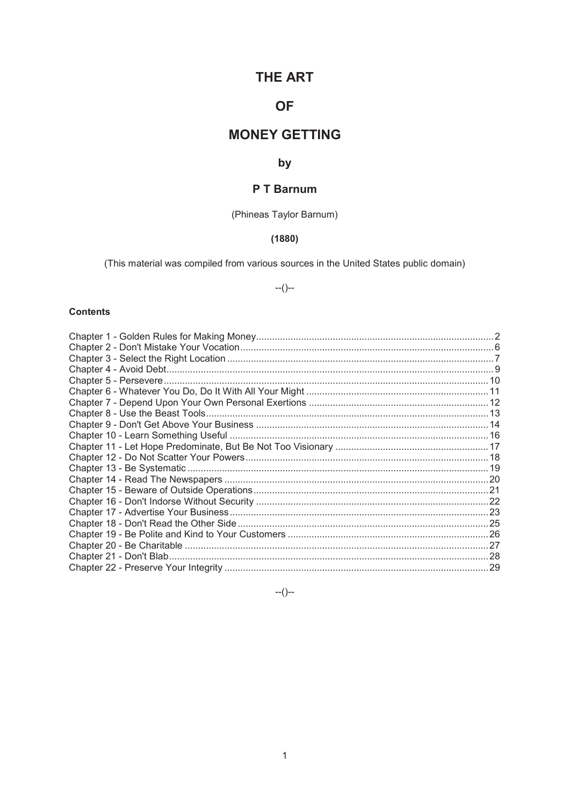# THE ART

# **OF**

# **MONEY GETTING**

## by

## P T Barnum

## (Phineas Taylor Barnum)

## $(1880)$

(This material was compiled from various sources in the United States public domain)

 $-(-)$ 

## **Contents**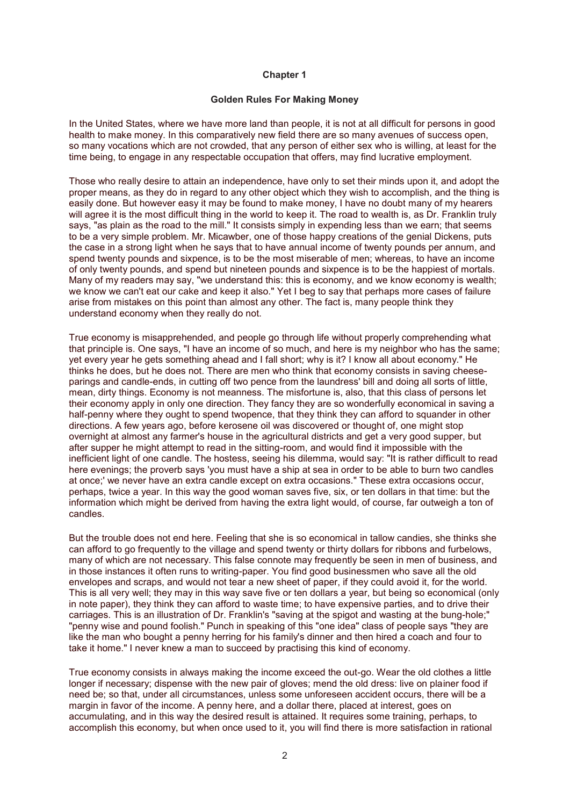#### **Golden Rules For Making Money**

In the United States, where we have more land than people, it is not at all difficult for persons in good health to make money. In this comparatively new field there are so many avenues of success open, so many vocations which are not crowded, that any person of either sex who is willing, at least for the time being, to engage in any respectable occupation that offers, may find lucrative employment.

Those who really desire to attain an independence, have only to set their minds upon it, and adopt the proper means, as they do in regard to any other object which they wish to accomplish, and the thing is easily done. But however easy it may be found to make money, I have no doubt many of my hearers will agree it is the most difficult thing in the world to keep it. The road to wealth is, as Dr. Franklin truly says, "as plain as the road to the mill." It consists simply in expending less than we earn; that seems to be a very simple problem. Mr. Micawber, one of those happy creations of the genial Dickens, puts the case in a strong light when he says that to have annual income of twenty pounds per annum, and spend twenty pounds and sixpence, is to be the most miserable of men; whereas, to have an income of only twenty pounds, and spend but nineteen pounds and sixpence is to be the happiest of mortals. Many of my readers may say, "we understand this: this is economy, and we know economy is wealth; we know we can't eat our cake and keep it also." Yet I beg to say that perhaps more cases of failure arise from mistakes on this point than almost any other. The fact is, many people think they understand economy when they really do not.

True economy is misapprehended, and people go through life without properly comprehending what that principle is. One says, "I have an income of so much, and here is my neighbor who has the same; yet every year he gets something ahead and I fall short; why is it? I know all about economy." He thinks he does, but he does not. There are men who think that economy consists in saving cheeseparings and candle-ends, in cutting off two pence from the laundress' bill and doing all sorts of little, mean, dirty things. Economy is not meanness. The misfortune is, also, that this class of persons let their economy apply in only one direction. They fancy they are so wonderfully economical in saving a half-penny where they ought to spend twopence, that they think they can afford to squander in other directions. A few years ago, before kerosene oil was discovered or thought of, one might stop overnight at almost any farmer's house in the agricultural districts and get a very good supper, but after supper he might attempt to read in the sitting-room, and would find it impossible with the inefficient light of one candle. The hostess, seeing his dilemma, would say: "It is rather difficult to read here evenings; the proverb says 'you must have a ship at sea in order to be able to burn two candles at once;' we never have an extra candle except on extra occasions." These extra occasions occur, perhaps, twice a year. In this way the good woman saves five, six, or ten dollars in that time: but the information which might be derived from having the extra light would, of course, far outweigh a ton of candles.

But the trouble does not end here. Feeling that she is so economical in tallow candies, she thinks she can afford to go frequently to the village and spend twenty or thirty dollars for ribbons and furbelows, many of which are not necessary. This false connote may frequently be seen in men of business, and in those instances it often runs to writing-paper. You find good businessmen who save all the old envelopes and scraps, and would not tear a new sheet of paper, if they could avoid it, for the world. This is all very well; they may in this way save five or ten dollars a year, but being so economical (only in note paper), they think they can afford to waste time; to have expensive parties, and to drive their carriages. This is an illustration of Dr. Franklin's "saving at the spigot and wasting at the bung-hole;" "penny wise and pound foolish." Punch in speaking of this "one idea" class of people says "they are like the man who bought a penny herring for his family's dinner and then hired a coach and four to take it home." I never knew a man to succeed by practising this kind of economy.

True economy consists in always making the income exceed the out-go. Wear the old clothes a little longer if necessary; dispense with the new pair of gloves; mend the old dress: live on plainer food if need be; so that, under all circumstances, unless some unforeseen accident occurs, there will be a margin in favor of the income. A penny here, and a dollar there, placed at interest, goes on accumulating, and in this way the desired result is attained. It requires some training, perhaps, to accomplish this economy, but when once used to it, you will find there is more satisfaction in rational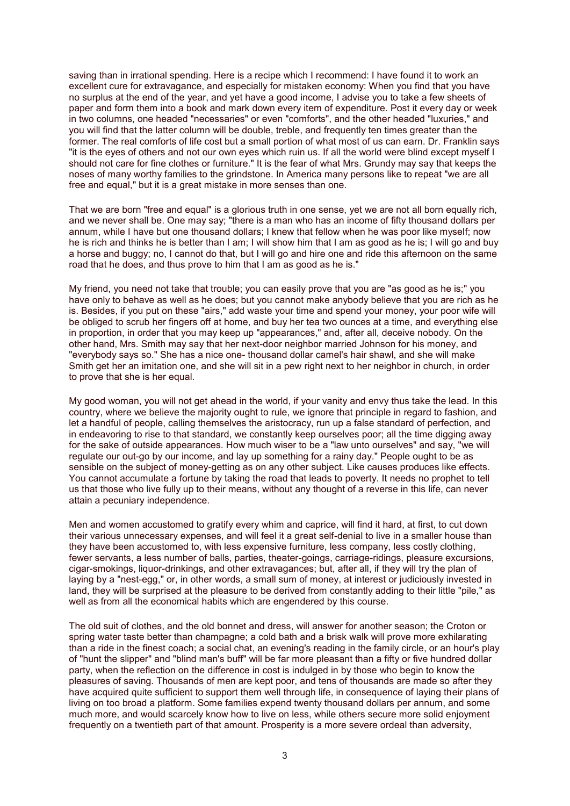saving than in irrational spending. Here is a recipe which I recommend: I have found it to work an excellent cure for extravagance, and especially for mistaken economy: When you find that you have no surplus at the end of the year, and yet have a good income, I advise you to take a few sheets of paper and form them into a book and mark down every item of expenditure. Post it every day or week in two columns, one headed "necessaries" or even "comforts", and the other headed "luxuries," and you will find that the latter column will be double, treble, and frequently ten times greater than the former. The real comforts of life cost but a small portion of what most of us can earn. Dr. Franklin says "it is the eyes of others and not our own eyes which ruin us. If all the world were blind except myself I should not care for fine clothes or furniture." It is the fear of what Mrs. Grundy may say that keeps the noses of many worthy families to the grindstone. In America many persons like to repeat "we are all free and equal," but it is a great mistake in more senses than one.

That we are born "free and equal" is a glorious truth in one sense, yet we are not all born equally rich, and we never shall be. One may say; "there is a man who has an income of fifty thousand dollars per annum, while I have but one thousand dollars; I knew that fellow when he was poor like myself; now he is rich and thinks he is better than I am; I will show him that I am as good as he is; I will go and buy a horse and buggy; no, I cannot do that, but I will go and hire one and ride this afternoon on the same road that he does, and thus prove to him that I am as good as he is."

My friend, you need not take that trouble; you can easily prove that you are "as good as he is;" you have only to behave as well as he does; but you cannot make anybody believe that you are rich as he is. Besides, if you put on these "airs," add waste your time and spend your money, your poor wife will be obliged to scrub her fingers off at home, and buy her tea two ounces at a time, and everything else in proportion, in order that you may keep up "appearances," and, after all, deceive nobody. On the other hand, Mrs. Smith may say that her next-door neighbor married Johnson for his money, and "everybody says so." She has a nice one- thousand dollar camel's hair shawl, and she will make Smith get her an imitation one, and she will sit in a pew right next to her neighbor in church, in order to prove that she is her equal.

My good woman, you will not get ahead in the world, if your vanity and envy thus take the lead. In this country, where we believe the majority ought to rule, we ignore that principle in regard to fashion, and let a handful of people, calling themselves the aristocracy, run up a false standard of perfection, and in endeavoring to rise to that standard, we constantly keep ourselves poor; all the time digging away for the sake of outside appearances. How much wiser to be a "law unto ourselves" and say, "we will regulate our out-go by our income, and lay up something for a rainy day." People ought to be as sensible on the subject of money-getting as on any other subject. Like causes produces like effects. You cannot accumulate a fortune by taking the road that leads to poverty. It needs no prophet to tell us that those who live fully up to their means, without any thought of a reverse in this life, can never attain a pecuniary independence.

Men and women accustomed to gratify every whim and caprice, will find it hard, at first, to cut down their various unnecessary expenses, and will feel it a great self-denial to live in a smaller house than they have been accustomed to, with less expensive furniture, less company, less costly clothing, fewer servants, a less number of balls, parties, theater-goings, carriage-ridings, pleasure excursions, cigar-smokings, liquor-drinkings, and other extravagances; but, after all, if they will try the plan of laying by a "nest-egg," or, in other words, a small sum of money, at interest or judiciously invested in land, they will be surprised at the pleasure to be derived from constantly adding to their little "pile," as well as from all the economical habits which are engendered by this course.

The old suit of clothes, and the old bonnet and dress, will answer for another season; the Croton or spring water taste better than champagne; a cold bath and a brisk walk will prove more exhilarating than a ride in the finest coach; a social chat, an evening's reading in the family circle, or an hour's play of "hunt the slipper" and "blind man's buff" will be far more pleasant than a fifty or five hundred dollar party, when the reflection on the difference in cost is indulged in by those who begin to know the pleasures of saving. Thousands of men are kept poor, and tens of thousands are made so after they have acquired quite sufficient to support them well through life, in consequence of laying their plans of living on too broad a platform. Some families expend twenty thousand dollars per annum, and some much more, and would scarcely know how to live on less, while others secure more solid enjoyment frequently on a twentieth part of that amount. Prosperity is a more severe ordeal than adversity,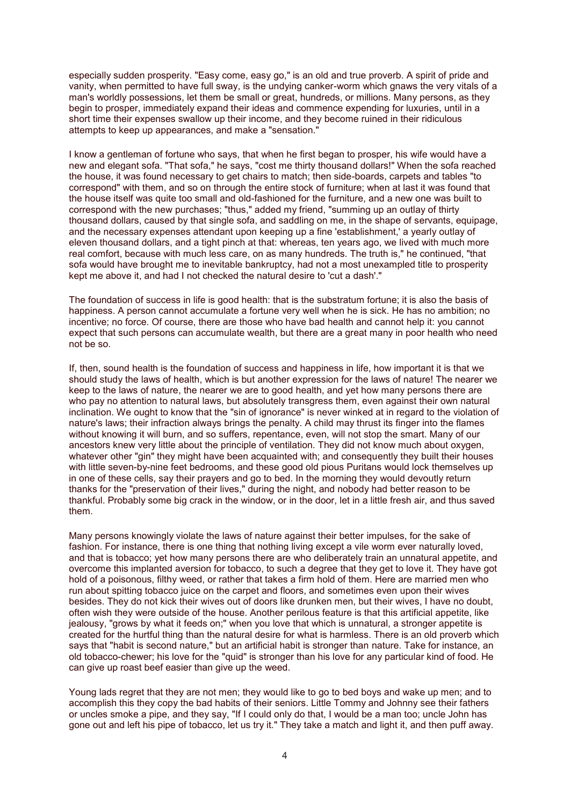especially sudden prosperity. "Easy come, easy go," is an old and true proverb. A spirit of pride and vanity, when permitted to have full sway, is the undying canker-worm which gnaws the very vitals of a man's worldly possessions, let them be small or great, hundreds, or millions. Many persons, as they begin to prosper, immediately expand their ideas and commence expending for luxuries, until in a short time their expenses swallow up their income, and they become ruined in their ridiculous attempts to keep up appearances, and make a "sensation."

I know a gentleman of fortune who says, that when he first began to prosper, his wife would have a new and elegant sofa. "That sofa," he says, "cost me thirty thousand dollars!" When the sofa reached the house, it was found necessary to get chairs to match; then side-boards, carpets and tables "to correspond" with them, and so on through the entire stock of furniture; when at last it was found that the house itself was quite too small and old-fashioned for the furniture, and a new one was built to correspond with the new purchases; "thus," added my friend, "summing up an outlay of thirty thousand dollars, caused by that single sofa, and saddling on me, in the shape of servants, equipage, and the necessary expenses attendant upon keeping up a fine 'establishment,' a yearly outlay of eleven thousand dollars, and a tight pinch at that: whereas, ten years ago, we lived with much more real comfort, because with much less care, on as many hundreds. The truth is," he continued, "that sofa would have brought me to inevitable bankruptcy, had not a most unexampled title to prosperity kept me above it, and had I not checked the natural desire to 'cut a dash'."

The foundation of success in life is good health: that is the substratum fortune; it is also the basis of happiness. A person cannot accumulate a fortune very well when he is sick. He has no ambition; no incentive; no force. Of course, there are those who have bad health and cannot help it: you cannot expect that such persons can accumulate wealth, but there are a great many in poor health who need not be so.

If, then, sound health is the foundation of success and happiness in life, how important it is that we should study the laws of health, which is but another expression for the laws of nature! The nearer we keep to the laws of nature, the nearer we are to good health, and yet how many persons there are who pay no attention to natural laws, but absolutely transgress them, even against their own natural inclination. We ought to know that the "sin of ignorance" is never winked at in regard to the violation of nature's laws; their infraction always brings the penalty. A child may thrust its finger into the flames without knowing it will burn, and so suffers, repentance, even, will not stop the smart. Many of our ancestors knew very little about the principle of ventilation. They did not know much about oxygen, whatever other "gin" they might have been acquainted with; and consequently they built their houses with little seven-by-nine feet bedrooms, and these good old pious Puritans would lock themselves up in one of these cells, say their prayers and go to bed. In the morning they would devoutly return thanks for the "preservation of their lives," during the night, and nobody had better reason to be thankful. Probably some big crack in the window, or in the door, let in a little fresh air, and thus saved them.

Many persons knowingly violate the laws of nature against their better impulses, for the sake of fashion. For instance, there is one thing that nothing living except a vile worm ever naturally loved, and that is tobacco; yet how many persons there are who deliberately train an unnatural appetite, and overcome this implanted aversion for tobacco, to such a degree that they get to love it. They have got hold of a poisonous, filthy weed, or rather that takes a firm hold of them. Here are married men who run about spitting tobacco juice on the carpet and floors, and sometimes even upon their wives besides. They do not kick their wives out of doors like drunken men, but their wives, I have no doubt, often wish they were outside of the house. Another perilous feature is that this artificial appetite, like jealousy, "grows by what it feeds on;" when you love that which is unnatural, a stronger appetite is created for the hurtful thing than the natural desire for what is harmless. There is an old proverb which says that "habit is second nature," but an artificial habit is stronger than nature. Take for instance, an old tobacco-chewer; his love for the "quid" is stronger than his love for any particular kind of food. He can give up roast beef easier than give up the weed.

Young lads regret that they are not men; they would like to go to bed boys and wake up men; and to accomplish this they copy the bad habits of their seniors. Little Tommy and Johnny see their fathers or uncles smoke a pipe, and they say, "If I could only do that, I would be a man too; uncle John has gone out and left his pipe of tobacco, let us try it." They take a match and light it, and then puff away.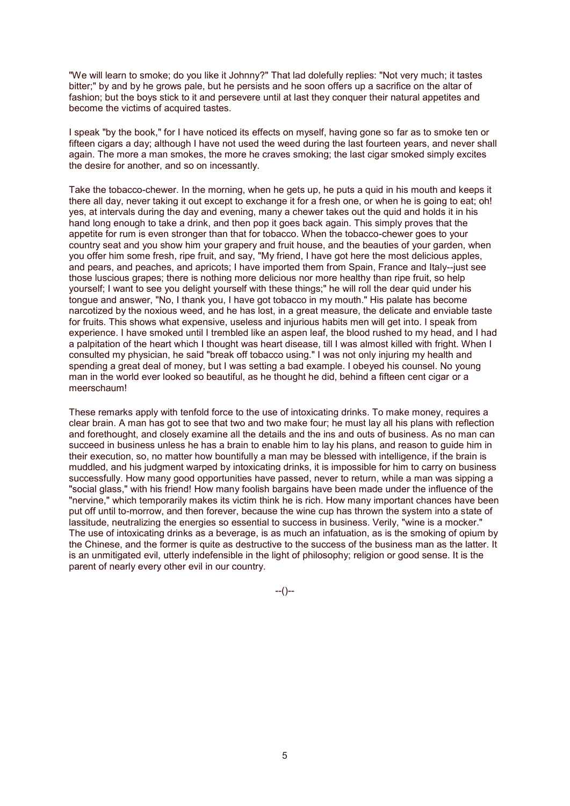"We will learn to smoke; do you like it Johnny?" That lad dolefully replies: "Not very much; it tastes bitter;" by and by he grows pale, but he persists and he soon offers up a sacrifice on the altar of fashion; but the boys stick to it and persevere until at last they conquer their natural appetites and become the victims of acquired tastes.

I speak "by the book," for I have noticed its effects on myself, having gone so far as to smoke ten or fifteen cigars a day; although I have not used the weed during the last fourteen years, and never shall again. The more a man smokes, the more he craves smoking; the last cigar smoked simply excites the desire for another, and so on incessantly.

Take the tobacco-chewer. In the morning, when he gets up, he puts a quid in his mouth and keeps it there all day, never taking it out except to exchange it for a fresh one, or when he is going to eat; oh! yes, at intervals during the day and evening, many a chewer takes out the quid and holds it in his hand long enough to take a drink, and then pop it goes back again. This simply proves that the appetite for rum is even stronger than that for tobacco. When the tobacco-chewer goes to your country seat and you show him your grapery and fruit house, and the beauties of your garden, when you offer him some fresh, ripe fruit, and say, "My friend, I have got here the most delicious apples, and pears, and peaches, and apricots; I have imported them from Spain, France and Italy--just see those luscious grapes; there is nothing more delicious nor more healthy than ripe fruit, so help yourself; I want to see you delight yourself with these things;" he will roll the dear quid under his tongue and answer, "No, I thank you, I have got tobacco in my mouth." His palate has become narcotized by the noxious weed, and he has lost, in a great measure, the delicate and enviable taste for fruits. This shows what expensive, useless and injurious habits men will get into. I speak from experience. I have smoked until I trembled like an aspen leaf, the blood rushed to my head, and I had a palpitation of the heart which I thought was heart disease, till I was almost killed with fright. When I consulted my physician, he said "break off tobacco using." I was not only injuring my health and spending a great deal of money, but I was setting a bad example. I obeyed his counsel. No young man in the world ever looked so beautiful, as he thought he did, behind a fifteen cent cigar or a meerschaum!

These remarks apply with tenfold force to the use of intoxicating drinks. To make money, requires a clear brain. A man has got to see that two and two make four; he must lay all his plans with reflection and forethought, and closely examine all the details and the ins and outs of business. As no man can succeed in business unless he has a brain to enable him to lay his plans, and reason to guide him in their execution, so, no matter how bountifully a man may be blessed with intelligence, if the brain is muddled, and his judgment warped by intoxicating drinks, it is impossible for him to carry on business successfully. How many good opportunities have passed, never to return, while a man was sipping a "social glass," with his friend! How many foolish bargains have been made under the influence of the "nervine," which temporarily makes its victim think he is rich. How many important chances have been put off until to-morrow, and then forever, because the wine cup has thrown the system into a state of lassitude, neutralizing the energies so essential to success in business. Verily, "wine is a mocker." The use of intoxicating drinks as a beverage, is as much an infatuation, as is the smoking of opium by the Chinese, and the former is quite as destructive to the success of the business man as the latter. It is an unmitigated evil, utterly indefensible in the light of philosophy; religion or good sense. It is the parent of nearly every other evil in our country.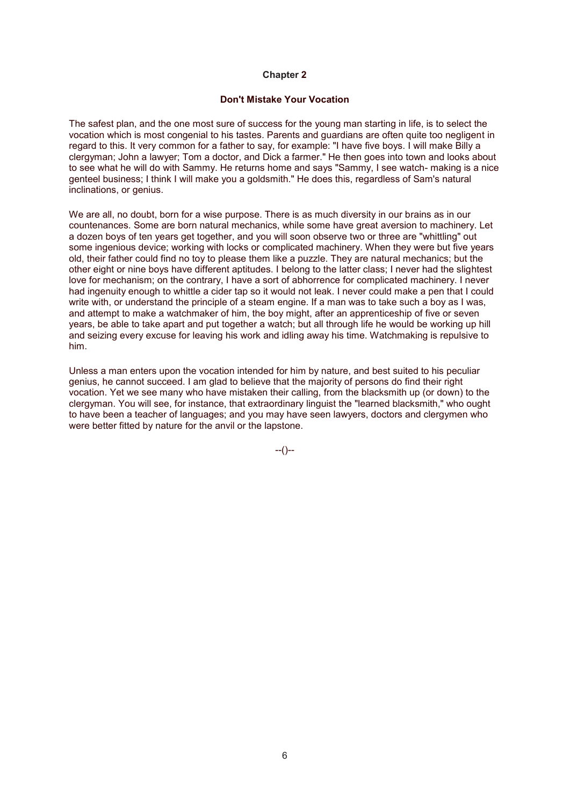## **Don't Mistake Your Vocation**

The safest plan, and the one most sure of success for the young man starting in life, is to select the vocation which is most congenial to his tastes. Parents and guardians are often quite too negligent in regard to this. It very common for a father to say, for example: "I have five boys. I will make Billy a clergyman; John a lawyer; Tom a doctor, and Dick a farmer." He then goes into town and looks about to see what he will do with Sammy. He returns home and says "Sammy, I see watch- making is a nice genteel business; I think I will make you a goldsmith." He does this, regardless of Sam's natural inclinations, or genius.

We are all, no doubt, born for a wise purpose. There is as much diversity in our brains as in our countenances. Some are born natural mechanics, while some have great aversion to machinery. Let a dozen boys of ten years get together, and you will soon observe two or three are "whittling" out some ingenious device; working with locks or complicated machinery. When they were but five years old, their father could find no toy to please them like a puzzle. They are natural mechanics; but the other eight or nine boys have different aptitudes. I belong to the latter class; I never had the slightest love for mechanism; on the contrary, I have a sort of abhorrence for complicated machinery. I never had ingenuity enough to whittle a cider tap so it would not leak. I never could make a pen that I could write with, or understand the principle of a steam engine. If a man was to take such a boy as I was, and attempt to make a watchmaker of him, the boy might, after an apprenticeship of five or seven years, be able to take apart and put together a watch; but all through life he would be working up hill and seizing every excuse for leaving his work and idling away his time. Watchmaking is repulsive to him.

Unless a man enters upon the vocation intended for him by nature, and best suited to his peculiar genius, he cannot succeed. I am glad to believe that the majority of persons do find their right vocation. Yet we see many who have mistaken their calling, from the blacksmith up (or down) to the clergyman. You will see, for instance, that extraordinary linguist the "learned blacksmith," who ought to have been a teacher of languages; and you may have seen lawyers, doctors and clergymen who were better fitted by nature for the anvil or the lapstone.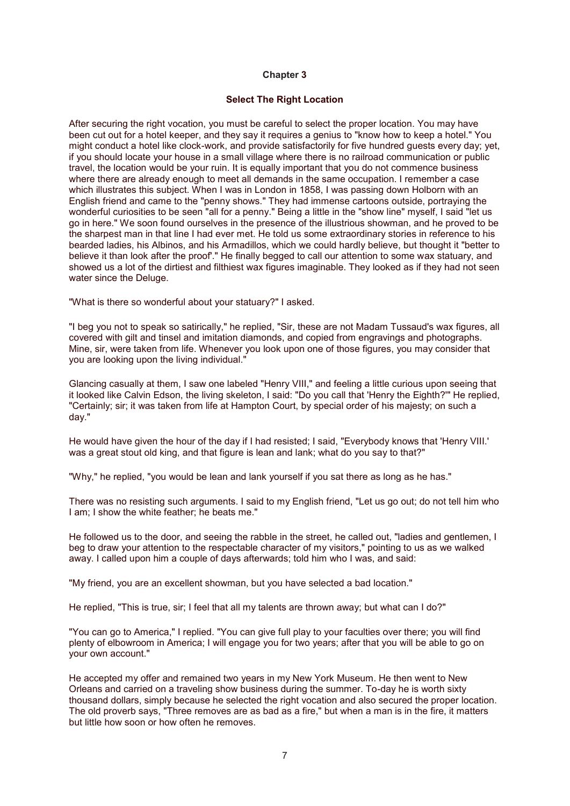## **Select The Right Location**

After securing the right vocation, you must be careful to select the proper location. You may have been cut out for a hotel keeper, and they say it requires a genius to "know how to keep a hotel." You might conduct a hotel like clock-work, and provide satisfactorily for five hundred guests every day; yet, if you should locate your house in a small village where there is no railroad communication or public travel, the location would be your ruin. It is equally important that you do not commence business where there are already enough to meet all demands in the same occupation. I remember a case which illustrates this subject. When I was in London in 1858, I was passing down Holborn with an English friend and came to the "penny shows." They had immense cartoons outside, portraying the wonderful curiosities to be seen "all for a penny." Being a little in the "show line" myself, I said "let us go in here." We soon found ourselves in the presence of the illustrious showman, and he proved to be the sharpest man in that line I had ever met. He told us some extraordinary stories in reference to his bearded ladies, his Albinos, and his Armadillos, which we could hardly believe, but thought it "better to believe it than look after the proof'." He finally begged to call our attention to some wax statuary, and showed us a lot of the dirtiest and filthiest wax figures imaginable. They looked as if they had not seen water since the Deluge.

"What is there so wonderful about your statuary?" I asked.

"I beg you not to speak so satirically," he replied, "Sir, these are not Madam Tussaud's wax figures, all covered with gilt and tinsel and imitation diamonds, and copied from engravings and photographs. Mine, sir, were taken from life. Whenever you look upon one of those figures, you may consider that you are looking upon the living individual."

Glancing casually at them, I saw one labeled "Henry VIII," and feeling a little curious upon seeing that it looked like Calvin Edson, the living skeleton, I said: "Do you call that 'Henry the Eighth?'" He replied, "Certainly; sir; it was taken from life at Hampton Court, by special order of his majesty; on such a day."

He would have given the hour of the day if I had resisted; I said, "Everybody knows that 'Henry VIII.' was a great stout old king, and that figure is lean and lank; what do you say to that?"

"Why," he replied, "you would be lean and lank yourself if you sat there as long as he has."

There was no resisting such arguments. I said to my English friend, "Let us go out; do not tell him who I am; I show the white feather; he beats me."

He followed us to the door, and seeing the rabble in the street, he called out, "ladies and gentlemen, I beg to draw your attention to the respectable character of my visitors," pointing to us as we walked away. I called upon him a couple of days afterwards; told him who I was, and said:

"My friend, you are an excellent showman, but you have selected a bad location."

He replied, "This is true, sir; I feel that all my talents are thrown away; but what can I do?"

"You can go to America," I replied. "You can give full play to your faculties over there; you will find plenty of elbowroom in America; I will engage you for two years; after that you will be able to go on your own account."

He accepted my offer and remained two years in my New York Museum. He then went to New Orleans and carried on a traveling show business during the summer. To-day he is worth sixty thousand dollars, simply because he selected the right vocation and also secured the proper location. The old proverb says, "Three removes are as bad as a fire," but when a man is in the fire, it matters but little how soon or how often he removes.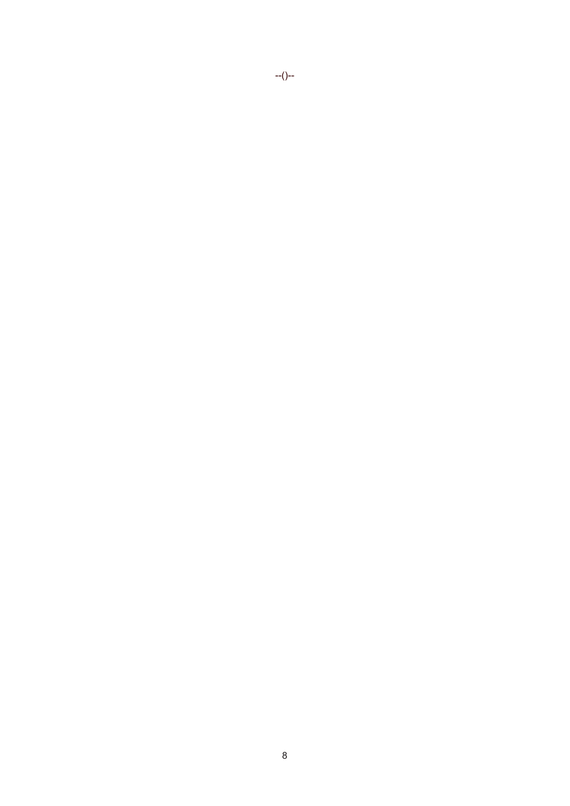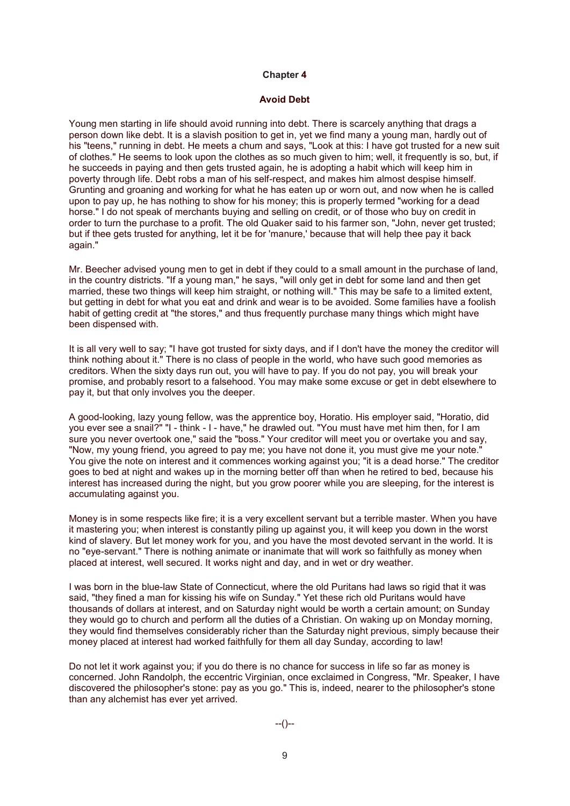#### **Avoid Debt**

Young men starting in life should avoid running into debt. There is scarcely anything that drags a person down like debt. It is a slavish position to get in, yet we find many a young man, hardly out of his "teens," running in debt. He meets a chum and says, "Look at this: I have got trusted for a new suit of clothes." He seems to look upon the clothes as so much given to him; well, it frequently is so, but, if he succeeds in paying and then gets trusted again, he is adopting a habit which will keep him in poverty through life. Debt robs a man of his self-respect, and makes him almost despise himself. Grunting and groaning and working for what he has eaten up or worn out, and now when he is called upon to pay up, he has nothing to show for his money; this is properly termed "working for a dead horse." I do not speak of merchants buying and selling on credit, or of those who buy on credit in order to turn the purchase to a profit. The old Quaker said to his farmer son, "John, never get trusted; but if thee gets trusted for anything, let it be for 'manure,' because that will help thee pay it back again."

Mr. Beecher advised young men to get in debt if they could to a small amount in the purchase of land, in the country districts. "If a young man," he says, "will only get in debt for some land and then get married, these two things will keep him straight, or nothing will." This may be safe to a limited extent, but getting in debt for what you eat and drink and wear is to be avoided. Some families have a foolish habit of getting credit at "the stores," and thus frequently purchase many things which might have been dispensed with.

It is all very well to say; "I have got trusted for sixty days, and if I don't have the money the creditor will think nothing about it." There is no class of people in the world, who have such good memories as creditors. When the sixty days run out, you will have to pay. If you do not pay, you will break your promise, and probably resort to a falsehood. You may make some excuse or get in debt elsewhere to pay it, but that only involves you the deeper.

A good-looking, lazy young fellow, was the apprentice boy, Horatio. His employer said, "Horatio, did you ever see a snail?" "I - think - I - have," he drawled out. "You must have met him then, for I am sure you never overtook one," said the "boss." Your creditor will meet you or overtake you and say, "Now, my young friend, you agreed to pay me; you have not done it, you must give me your note." You give the note on interest and it commences working against you; "it is a dead horse." The creditor goes to bed at night and wakes up in the morning better off than when he retired to bed, because his interest has increased during the night, but you grow poorer while you are sleeping, for the interest is accumulating against you.

Money is in some respects like fire; it is a very excellent servant but a terrible master. When you have it mastering you; when interest is constantly piling up against you, it will keep you down in the worst kind of slavery. But let money work for you, and you have the most devoted servant in the world. It is no "eye-servant." There is nothing animate or inanimate that will work so faithfully as money when placed at interest, well secured. It works night and day, and in wet or dry weather.

I was born in the blue-law State of Connecticut, where the old Puritans had laws so rigid that it was said, "they fined a man for kissing his wife on Sunday." Yet these rich old Puritans would have thousands of dollars at interest, and on Saturday night would be worth a certain amount; on Sunday they would go to church and perform all the duties of a Christian. On waking up on Monday morning, they would find themselves considerably richer than the Saturday night previous, simply because their money placed at interest had worked faithfully for them all day Sunday, according to law!

Do not let it work against you; if you do there is no chance for success in life so far as money is concerned. John Randolph, the eccentric Virginian, once exclaimed in Congress, "Mr. Speaker, I have discovered the philosopher's stone: pay as you go." This is, indeed, nearer to the philosopher's stone than any alchemist has ever yet arrived.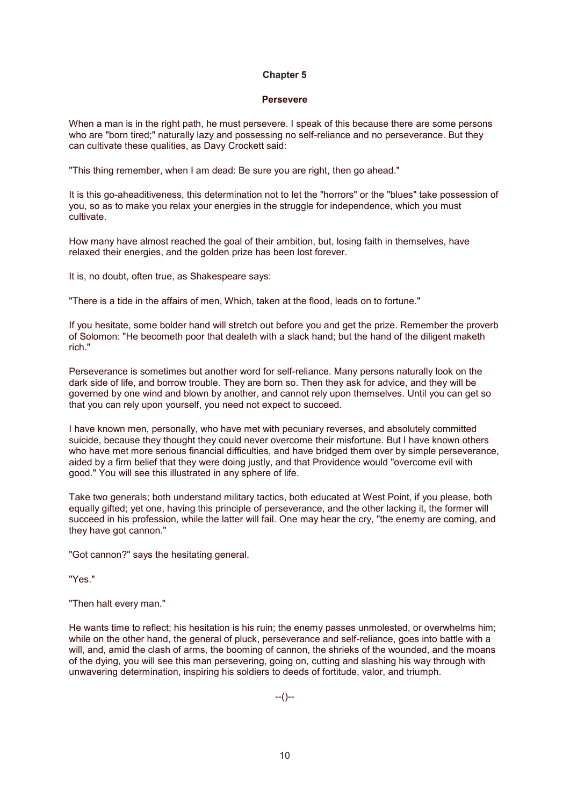#### **Persevere**

When a man is in the right path, he must persevere. I speak of this because there are some persons who are "born tired;" naturally lazy and possessing no self-reliance and no perseverance. But they can cultivate these qualities, as Davy Crockett said:

"This thing remember, when I am dead: Be sure you are right, then go ahead."

It is this go-aheaditiveness, this determination not to let the "horrors" or the "blues" take possession of you, so as to make you relax your energies in the struggle for independence, which you must cultivate.

How many have almost reached the goal of their ambition, but, losing faith in themselves, have relaxed their energies, and the golden prize has been lost forever.

It is, no doubt, often true, as Shakespeare says:

"There is a tide in the affairs of men, Which, taken at the flood, leads on to fortune."

If you hesitate, some bolder hand will stretch out before you and get the prize. Remember the proverb of Solomon: "He becometh poor that dealeth with a slack hand; but the hand of the diligent maketh rich."

Perseverance is sometimes but another word for self-reliance. Many persons naturally look on the dark side of life, and borrow trouble. They are born so. Then they ask for advice, and they will be governed by one wind and blown by another, and cannot rely upon themselves. Until you can get so that you can rely upon yourself, you need not expect to succeed.

I have known men, personally, who have met with pecuniary reverses, and absolutely committed suicide, because they thought they could never overcome their misfortune. But I have known others who have met more serious financial difficulties, and have bridged them over by simple perseverance, aided by a firm belief that they were doing justly, and that Providence would "overcome evil with good." You will see this illustrated in any sphere of life.

Take two generals; both understand military tactics, both educated at West Point, if you please, both equally gifted; yet one, having this principle of perseverance, and the other lacking it, the former will succeed in his profession, while the latter will fail. One may hear the cry, "the enemy are coming, and they have got cannon."

"Got cannon?" says the hesitating general.

"Yes."

"Then halt every man."

He wants time to reflect; his hesitation is his ruin; the enemy passes unmolested, or overwhelms him; while on the other hand, the general of pluck, perseverance and self-reliance, goes into battle with a will, and, amid the clash of arms, the booming of cannon, the shrieks of the wounded, and the moans of the dying, you will see this man persevering, going on, cutting and slashing his way through with unwavering determination, inspiring his soldiers to deeds of fortitude, valor, and triumph.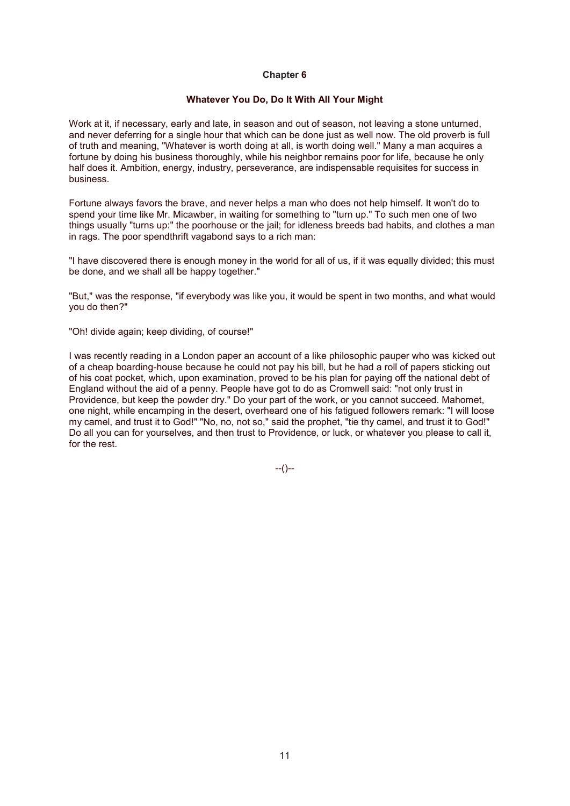## **Whatever You Do, Do It With All Your Might**

Work at it, if necessary, early and late, in season and out of season, not leaving a stone unturned. and never deferring for a single hour that which can be done just as well now. The old proverb is full of truth and meaning, "Whatever is worth doing at all, is worth doing well." Many a man acquires a fortune by doing his business thoroughly, while his neighbor remains poor for life, because he only half does it. Ambition, energy, industry, perseverance, are indispensable requisites for success in business.

Fortune always favors the brave, and never helps a man who does not help himself. It won't do to spend your time like Mr. Micawber, in waiting for something to "turn up." To such men one of two things usually "turns up:" the poorhouse or the jail; for idleness breeds bad habits, and clothes a man in rags. The poor spendthrift vagabond says to a rich man:

"I have discovered there is enough money in the world for all of us, if it was equally divided; this must be done, and we shall all be happy together."

"But," was the response, "if everybody was like you, it would be spent in two months, and what would you do then?"

"Oh! divide again; keep dividing, of course!"

I was recently reading in a London paper an account of a like philosophic pauper who was kicked out of a cheap boarding-house because he could not pay his bill, but he had a roll of papers sticking out of his coat pocket, which, upon examination, proved to be his plan for paying off the national debt of England without the aid of a penny. People have got to do as Cromwell said: "not only trust in Providence, but keep the powder dry." Do your part of the work, or you cannot succeed. Mahomet, one night, while encamping in the desert, overheard one of his fatigued followers remark: "I will loose my camel, and trust it to God!" "No, no, not so," said the prophet, "tie thy camel, and trust it to God!" Do all you can for yourselves, and then trust to Providence, or luck, or whatever you please to call it, for the rest.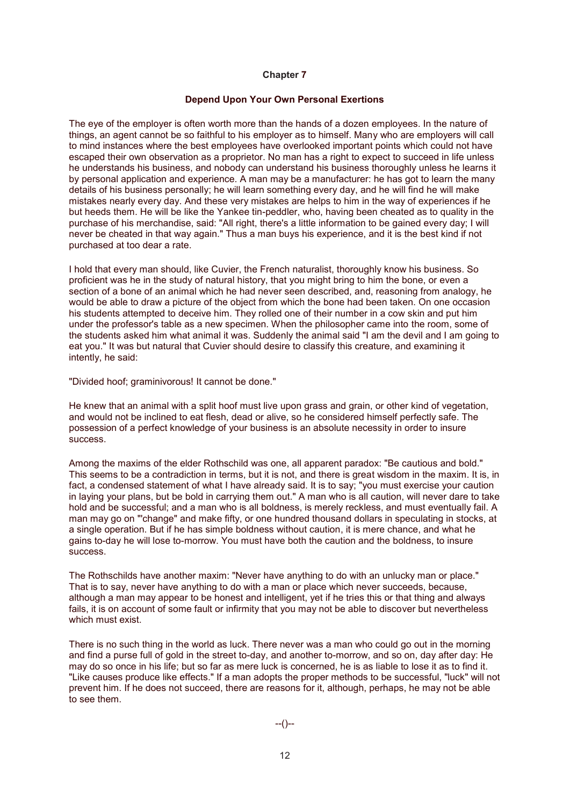## **Depend Upon Your Own Personal Exertions**

The eye of the employer is often worth more than the hands of a dozen employees. In the nature of things, an agent cannot be so faithful to his employer as to himself. Many who are employers will call to mind instances where the best employees have overlooked important points which could not have escaped their own observation as a proprietor. No man has a right to expect to succeed in life unless he understands his business, and nobody can understand his business thoroughly unless he learns it by personal application and experience. A man may be a manufacturer: he has got to learn the many details of his business personally; he will learn something every day, and he will find he will make mistakes nearly every day. And these very mistakes are helps to him in the way of experiences if he but heeds them. He will be like the Yankee tin-peddler, who, having been cheated as to quality in the purchase of his merchandise, said: "All right, there's a little information to be gained every day; I will never be cheated in that way again." Thus a man buys his experience, and it is the best kind if not purchased at too dear a rate.

I hold that every man should, like Cuvier, the French naturalist, thoroughly know his business. So proficient was he in the study of natural history, that you might bring to him the bone, or even a section of a bone of an animal which he had never seen described, and, reasoning from analogy, he would be able to draw a picture of the object from which the bone had been taken. On one occasion his students attempted to deceive him. They rolled one of their number in a cow skin and put him under the professor's table as a new specimen. When the philosopher came into the room, some of the students asked him what animal it was. Suddenly the animal said "I am the devil and I am going to eat you." It was but natural that Cuvier should desire to classify this creature, and examining it intently, he said:

"Divided hoof; graminivorous! It cannot be done."

He knew that an animal with a split hoof must live upon grass and grain, or other kind of vegetation, and would not be inclined to eat flesh, dead or alive, so he considered himself perfectly safe. The possession of a perfect knowledge of your business is an absolute necessity in order to insure success.

Among the maxims of the elder Rothschild was one, all apparent paradox: "Be cautious and bold." This seems to be a contradiction in terms, but it is not, and there is great wisdom in the maxim. It is, in fact, a condensed statement of what I have already said. It is to say; "you must exercise your caution in laying your plans, but be bold in carrying them out." A man who is all caution, will never dare to take hold and be successful; and a man who is all boldness, is merely reckless, and must eventually fail. A man may go on "'change" and make fifty, or one hundred thousand dollars in speculating in stocks, at a single operation. But if he has simple boldness without caution, it is mere chance, and what he gains to-day he will lose to-morrow. You must have both the caution and the boldness, to insure success.

The Rothschilds have another maxim: "Never have anything to do with an unlucky man or place." That is to say, never have anything to do with a man or place which never succeeds, because, although a man may appear to be honest and intelligent, yet if he tries this or that thing and always fails, it is on account of some fault or infirmity that you may not be able to discover but nevertheless which must exist.

There is no such thing in the world as luck. There never was a man who could go out in the morning and find a purse full of gold in the street to-day, and another to-morrow, and so on, day after day: He may do so once in his life; but so far as mere luck is concerned, he is as liable to lose it as to find it. "Like causes produce like effects." If a man adopts the proper methods to be successful, "luck" will not prevent him. If he does not succeed, there are reasons for it, although, perhaps, he may not be able to see them.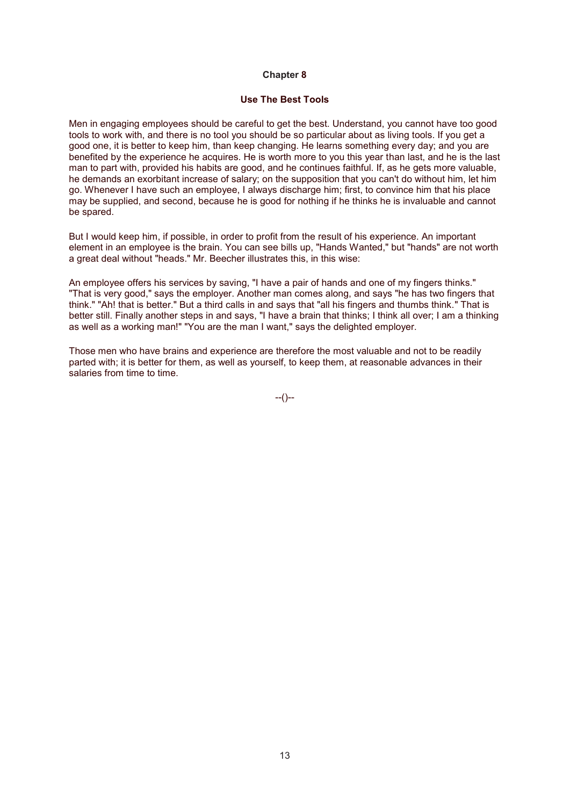## **Use The Best Tools**

Men in engaging employees should be careful to get the best. Understand, you cannot have too good tools to work with, and there is no tool you should be so particular about as living tools. If you get a good one, it is better to keep him, than keep changing. He learns something every day; and you are benefited by the experience he acquires. He is worth more to you this year than last, and he is the last man to part with, provided his habits are good, and he continues faithful. If, as he gets more valuable, he demands an exorbitant increase of salary; on the supposition that you can't do without him, let him go. Whenever I have such an employee, I always discharge him; first, to convince him that his place may be supplied, and second, because he is good for nothing if he thinks he is invaluable and cannot be spared.

But I would keep him, if possible, in order to profit from the result of his experience. An important element in an employee is the brain. You can see bills up, "Hands Wanted," but "hands" are not worth a great deal without "heads." Mr. Beecher illustrates this, in this wise:

An employee offers his services by saving, "I have a pair of hands and one of my fingers thinks." "That is very good," says the employer. Another man comes along, and says "he has two fingers that think." "Ah! that is better." But a third calls in and says that "all his fingers and thumbs think." That is better still. Finally another steps in and says, "I have a brain that thinks; I think all over; I am a thinking as well as a working man!" "You are the man I want," says the delighted employer.

Those men who have brains and experience are therefore the most valuable and not to be readily parted with; it is better for them, as well as yourself, to keep them, at reasonable advances in their salaries from time to time.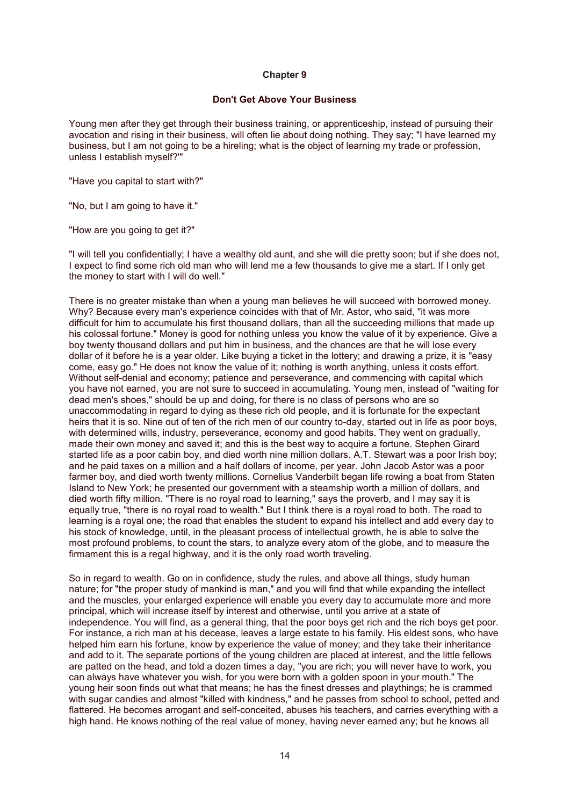## **Don't Get Above Your Business**

Young men after they get through their business training, or apprenticeship, instead of pursuing their avocation and rising in their business, will often lie about doing nothing. They say; "I have learned my business, but I am not going to be a hireling; what is the object of learning my trade or profession, unless I establish myself?'"

"Have you capital to start with?"

"No, but I am going to have it."

"How are you going to get it?"

"I will tell you confidentially; I have a wealthy old aunt, and she will die pretty soon; but if she does not, I expect to find some rich old man who will lend me a few thousands to give me a start. If I only get the money to start with I will do well."

There is no greater mistake than when a young man believes he will succeed with borrowed money. Why? Because every man's experience coincides with that of Mr. Astor, who said, "it was more difficult for him to accumulate his first thousand dollars, than all the succeeding millions that made up his colossal fortune." Money is good for nothing unless you know the value of it by experience. Give a boy twenty thousand dollars and put him in business, and the chances are that he will lose every dollar of it before he is a year older. Like buying a ticket in the lottery; and drawing a prize, it is "easy come, easy go." He does not know the value of it; nothing is worth anything, unless it costs effort. Without self-denial and economy; patience and perseverance, and commencing with capital which you have not earned, you are not sure to succeed in accumulating. Young men, instead of "waiting for dead men's shoes," should be up and doing, for there is no class of persons who are so unaccommodating in regard to dying as these rich old people, and it is fortunate for the expectant heirs that it is so. Nine out of ten of the rich men of our country to-day, started out in life as poor boys, with determined wills, industry, perseverance, economy and good habits. They went on gradually, made their own money and saved it; and this is the best way to acquire a fortune. Stephen Girard started life as a poor cabin boy, and died worth nine million dollars. A.T. Stewart was a poor Irish boy; and he paid taxes on a million and a half dollars of income, per year. John Jacob Astor was a poor farmer boy, and died worth twenty millions. Cornelius Vanderbilt began life rowing a boat from Staten Island to New York; he presented our government with a steamship worth a million of dollars, and died worth fifty million. "There is no royal road to learning," says the proverb, and I may say it is equally true, "there is no royal road to wealth." But I think there is a royal road to both. The road to learning is a royal one; the road that enables the student to expand his intellect and add every day to his stock of knowledge, until, in the pleasant process of intellectual growth, he is able to solve the most profound problems, to count the stars, to analyze every atom of the globe, and to measure the firmament this is a regal highway, and it is the only road worth traveling.

So in regard to wealth. Go on in confidence, study the rules, and above all things, study human nature; for "the proper study of mankind is man," and you will find that while expanding the intellect and the muscles, your enlarged experience will enable you every day to accumulate more and more principal, which will increase itself by interest and otherwise, until you arrive at a state of independence. You will find, as a general thing, that the poor boys get rich and the rich boys get poor. For instance, a rich man at his decease, leaves a large estate to his family. His eldest sons, who have helped him earn his fortune, know by experience the value of money; and they take their inheritance and add to it. The separate portions of the young children are placed at interest, and the little fellows are patted on the head, and told a dozen times a day, "you are rich; you will never have to work, you can always have whatever you wish, for you were born with a golden spoon in your mouth." The young heir soon finds out what that means; he has the finest dresses and playthings; he is crammed with sugar candies and almost "killed with kindness," and he passes from school to school, petted and flattered. He becomes arrogant and self-conceited, abuses his teachers, and carries everything with a high hand. He knows nothing of the real value of money, having never earned any; but he knows all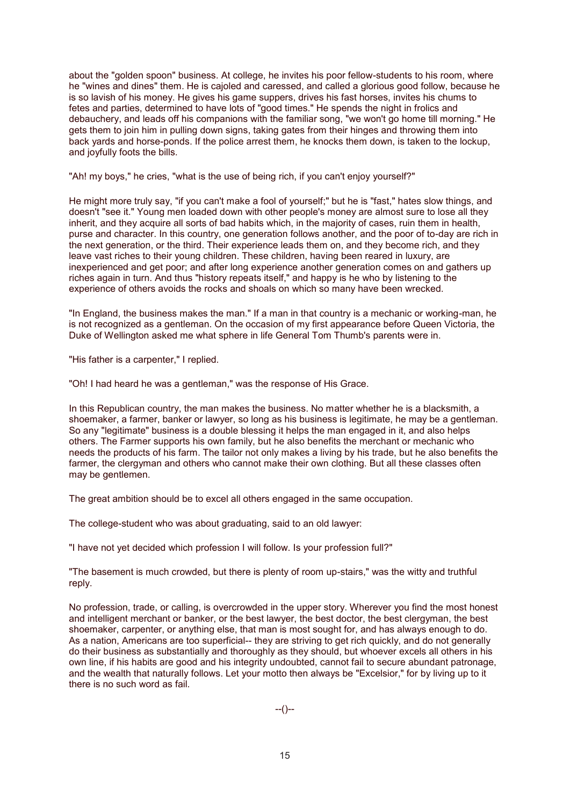about the "golden spoon" business. At college, he invites his poor fellow-students to his room, where he "wines and dines" them. He is cajoled and caressed, and called a glorious good follow, because he is so lavish of his money. He gives his game suppers, drives his fast horses, invites his chums to fetes and parties, determined to have lots of "good times." He spends the night in frolics and debauchery, and leads off his companions with the familiar song, "we won't go home till morning." He gets them to join him in pulling down signs, taking gates from their hinges and throwing them into back yards and horse-ponds. If the police arrest them, he knocks them down, is taken to the lockup, and joyfully foots the bills.

"Ah! my boys," he cries, "what is the use of being rich, if you can't enjoy yourself?"

He might more truly say, "if you can't make a fool of yourself;" but he is "fast," hates slow things, and doesn't "see it." Young men loaded down with other people's money are almost sure to lose all they inherit, and they acquire all sorts of bad habits which, in the majority of cases, ruin them in health, purse and character. In this country, one generation follows another, and the poor of to-day are rich in the next generation, or the third. Their experience leads them on, and they become rich, and they leave vast riches to their young children. These children, having been reared in luxury, are inexperienced and get poor; and after long experience another generation comes on and gathers up riches again in turn. And thus "history repeats itself," and happy is he who by listening to the experience of others avoids the rocks and shoals on which so many have been wrecked.

"In England, the business makes the man." If a man in that country is a mechanic or working-man, he is not recognized as a gentleman. On the occasion of my first appearance before Queen Victoria, the Duke of Wellington asked me what sphere in life General Tom Thumb's parents were in.

"His father is a carpenter," I replied.

"Oh! I had heard he was a gentleman," was the response of His Grace.

In this Republican country, the man makes the business. No matter whether he is a blacksmith, a shoemaker, a farmer, banker or lawyer, so long as his business is legitimate, he may be a gentleman. So any "legitimate" business is a double blessing it helps the man engaged in it, and also helps others. The Farmer supports his own family, but he also benefits the merchant or mechanic who needs the products of his farm. The tailor not only makes a living by his trade, but he also benefits the farmer, the clergyman and others who cannot make their own clothing. But all these classes often may be gentlemen.

The great ambition should be to excel all others engaged in the same occupation.

The college-student who was about graduating, said to an old lawyer:

"I have not yet decided which profession I will follow. Is your profession full?"

"The basement is much crowded, but there is plenty of room up-stairs," was the witty and truthful reply.

No profession, trade, or calling, is overcrowded in the upper story. Wherever you find the most honest and intelligent merchant or banker, or the best lawyer, the best doctor, the best clergyman, the best shoemaker, carpenter, or anything else, that man is most sought for, and has always enough to do. As a nation, Americans are too superficial-- they are striving to get rich quickly, and do not generally do their business as substantially and thoroughly as they should, but whoever excels all others in his own line, if his habits are good and his integrity undoubted, cannot fail to secure abundant patronage, and the wealth that naturally follows. Let your motto then always be "Excelsior," for by living up to it there is no such word as fail.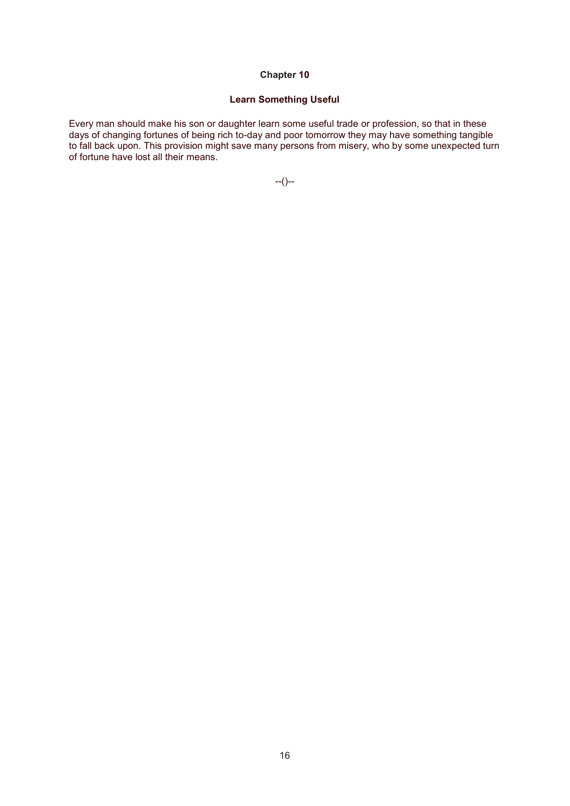## **Learn Something Useful**

Every man should make his son or daughter learn some useful trade or profession, so that in these days of changing fortunes of being rich to-day and poor tomorrow they may have something tangible to fall back upon. This provision might save many persons from misery, who by some unexpected turn of fortune have lost all their means.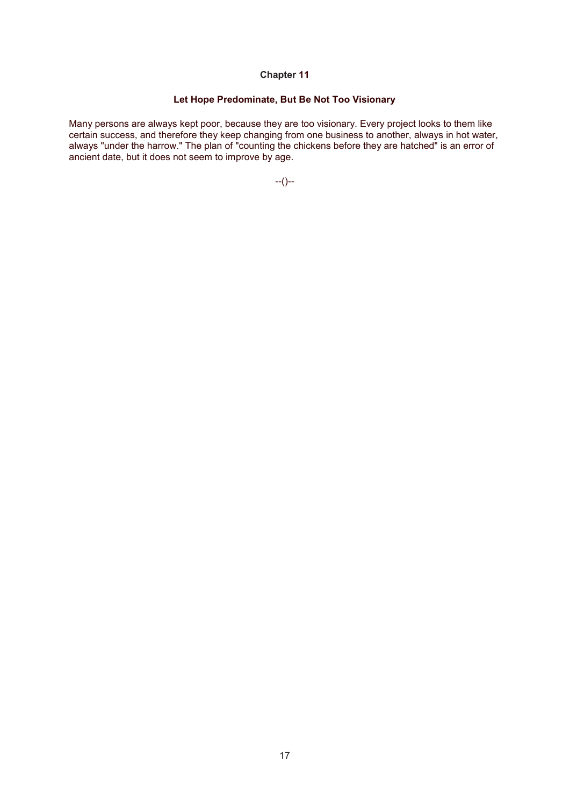## **Let Hope Predominate, But Be Not Too Visionary**

Many persons are always kept poor, because they are too visionary. Every project looks to them like certain success, and therefore they keep changing from one business to another, always in hot water, always "under the harrow." The plan of "counting the chickens before they are hatched" is an error of ancient date, but it does not seem to improve by age.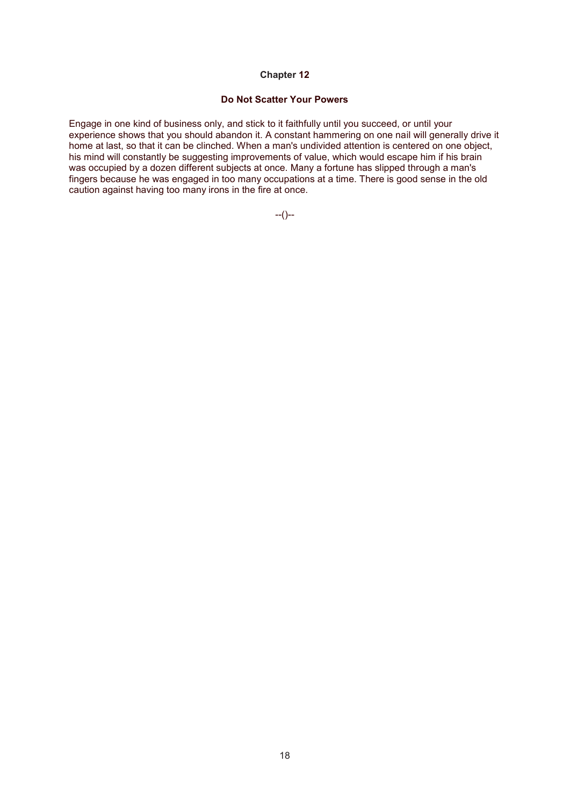## **Do Not Scatter Your Powers**

Engage in one kind of business only, and stick to it faithfully until you succeed, or until your experience shows that you should abandon it. A constant hammering on one nail will generally drive it home at last, so that it can be clinched. When a man's undivided attention is centered on one object, his mind will constantly be suggesting improvements of value, which would escape him if his brain was occupied by a dozen different subjects at once. Many a fortune has slipped through a man's fingers because he was engaged in too many occupations at a time. There is good sense in the old caution against having too many irons in the fire at once.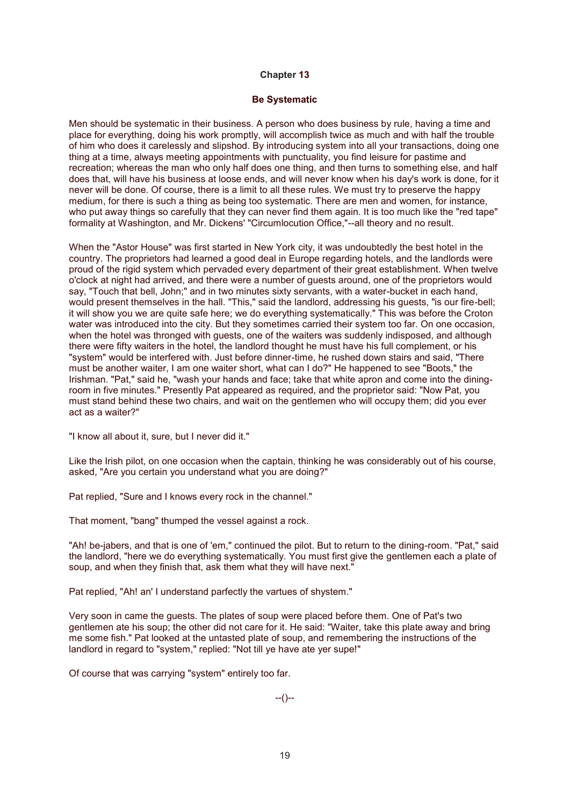## **Be Systematic**

Men should be systematic in their business. A person who does business by rule, having a time and place for everything, doing his work promptly, will accomplish twice as much and with half the trouble of him who does it carelessly and slipshod. By introducing system into all your transactions, doing one thing at a time, always meeting appointments with punctuality, you find leisure for pastime and recreation; whereas the man who only half does one thing, and then turns to something else, and half does that, will have his business at loose ends, and will never know when his day's work is done, for it never will be done. Of course, there is a limit to all these rules. We must try to preserve the happy medium, for there is such a thing as being too systematic. There are men and women, for instance, who put away things so carefully that they can never find them again. It is too much like the "red tape" formality at Washington, and Mr. Dickens' "Circumlocution Office,"--all theory and no result.

When the "Astor House" was first started in New York city, it was undoubtedly the best hotel in the country. The proprietors had learned a good deal in Europe regarding hotels, and the landlords were proud of the rigid system which pervaded every department of their great establishment. When twelve o'clock at night had arrived, and there were a number of guests around, one of the proprietors would say, "Touch that bell, John;" and in two minutes sixty servants, with a water-bucket in each hand, would present themselves in the hall. "This," said the landlord, addressing his guests, "is our fire-bell; it will show you we are quite safe here; we do everything systematically." This was before the Croton water was introduced into the city. But they sometimes carried their system too far. On one occasion, when the hotel was thronged with guests, one of the waiters was suddenly indisposed, and although there were fifty waiters in the hotel, the landlord thought he must have his full complement, or his "system" would be interfered with. Just before dinner-time, he rushed down stairs and said, "There must be another waiter, I am one waiter short, what can I do?" He happened to see "Boots," the Irishman. "Pat," said he, "wash your hands and face; take that white apron and come into the diningroom in five minutes." Presently Pat appeared as required, and the proprietor said: "Now Pat, you must stand behind these two chairs, and wait on the gentlemen who will occupy them; did you ever act as a waiter?"

"I know all about it, sure, but I never did it."

Like the Irish pilot, on one occasion when the captain, thinking he was considerably out of his course, asked, "Are you certain you understand what you are doing?"

Pat replied, "Sure and I knows every rock in the channel."

That moment, "bang" thumped the vessel against a rock.

"Ah! be-jabers, and that is one of 'em," continued the pilot. But to return to the dining-room. "Pat," said the landlord, "here we do everything systematically. You must first give the gentlemen each a plate of soup, and when they finish that, ask them what they will have next."

Pat replied, "Ah! an' I understand parfectly the vartues of shystem."

Very soon in came the guests. The plates of soup were placed before them. One of Pat's two gentlemen ate his soup; the other did not care for it. He said: "Waiter, take this plate away and bring me some fish." Pat looked at the untasted plate of soup, and remembering the instructions of the landlord in regard to "system," replied: "Not till ye have ate yer supe!"

Of course that was carrying "system" entirely too far.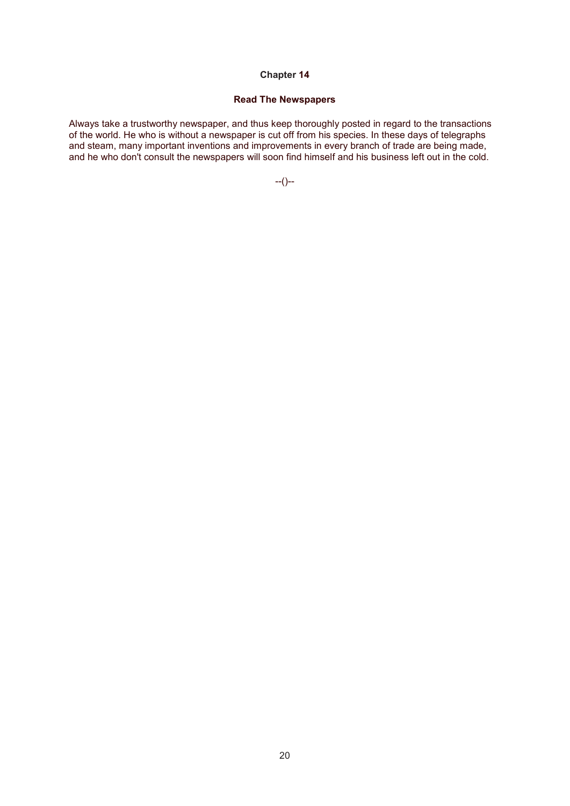## **Read The Newspapers**

Always take a trustworthy newspaper, and thus keep thoroughly posted in regard to the transactions of the world. He who is without a newspaper is cut off from his species. In these days of telegraphs and steam, many important inventions and improvements in every branch of trade are being made, and he who don't consult the newspapers will soon find himself and his business left out in the cold.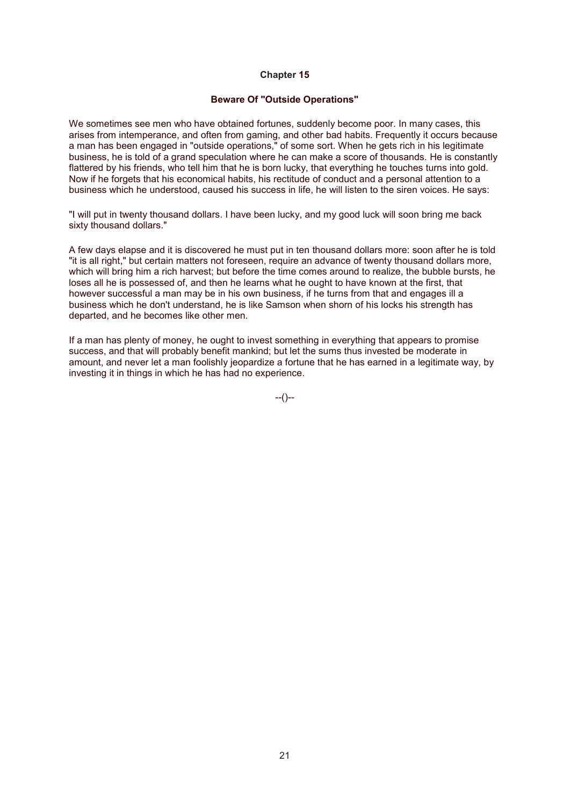## **Beware Of "Outside Operations"**

We sometimes see men who have obtained fortunes, suddenly become poor. In many cases, this arises from intemperance, and often from gaming, and other bad habits. Frequently it occurs because a man has been engaged in "outside operations," of some sort. When he gets rich in his legitimate business, he is told of a grand speculation where he can make a score of thousands. He is constantly flattered by his friends, who tell him that he is born lucky, that everything he touches turns into gold. Now if he forgets that his economical habits, his rectitude of conduct and a personal attention to a business which he understood, caused his success in life, he will listen to the siren voices. He says:

"I will put in twenty thousand dollars. I have been lucky, and my good luck will soon bring me back sixty thousand dollars."

A few days elapse and it is discovered he must put in ten thousand dollars more: soon after he is told "it is all right," but certain matters not foreseen, require an advance of twenty thousand dollars more, which will bring him a rich harvest; but before the time comes around to realize, the bubble bursts, he loses all he is possessed of, and then he learns what he ought to have known at the first, that however successful a man may be in his own business, if he turns from that and engages ill a business which he don't understand, he is like Samson when shorn of his locks his strength has departed, and he becomes like other men.

If a man has plenty of money, he ought to invest something in everything that appears to promise success, and that will probably benefit mankind; but let the sums thus invested be moderate in amount, and never let a man foolishly jeopardize a fortune that he has earned in a legitimate way, by investing it in things in which he has had no experience.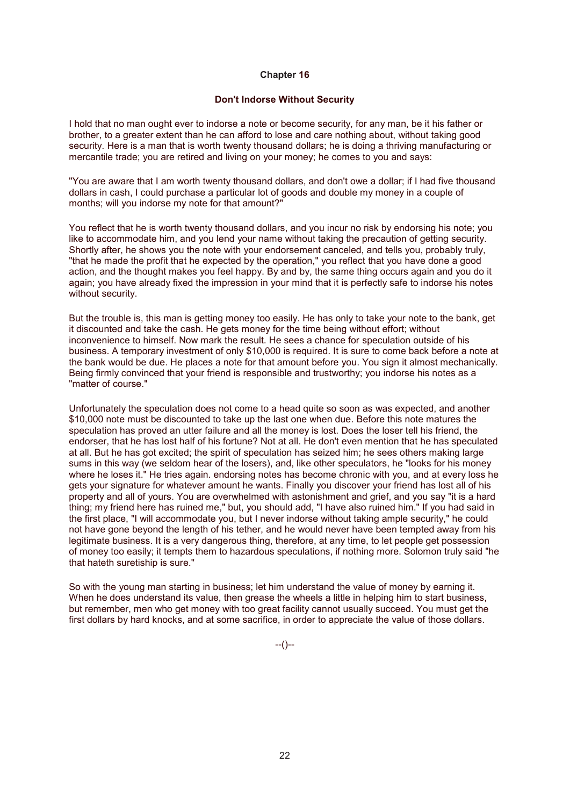## **Don't Indorse Without Security**

I hold that no man ought ever to indorse a note or become security, for any man, be it his father or brother, to a greater extent than he can afford to lose and care nothing about, without taking good security. Here is a man that is worth twenty thousand dollars; he is doing a thriving manufacturing or mercantile trade; you are retired and living on your money; he comes to you and says:

"You are aware that I am worth twenty thousand dollars, and don't owe a dollar; if I had five thousand dollars in cash, I could purchase a particular lot of goods and double my money in a couple of months; will you indorse my note for that amount?"

You reflect that he is worth twenty thousand dollars, and you incur no risk by endorsing his note; you like to accommodate him, and you lend your name without taking the precaution of getting security. Shortly after, he shows you the note with your endorsement canceled, and tells you, probably truly, "that he made the profit that he expected by the operation," you reflect that you have done a good action, and the thought makes you feel happy. By and by, the same thing occurs again and you do it again; you have already fixed the impression in your mind that it is perfectly safe to indorse his notes without security.

But the trouble is, this man is getting money too easily. He has only to take your note to the bank, get it discounted and take the cash. He gets money for the time being without effort; without inconvenience to himself. Now mark the result. He sees a chance for speculation outside of his business. A temporary investment of only \$10,000 is required. It is sure to come back before a note at the bank would be due. He places a note for that amount before you. You sign it almost mechanically. Being firmly convinced that your friend is responsible and trustworthy; you indorse his notes as a "matter of course."

Unfortunately the speculation does not come to a head quite so soon as was expected, and another \$10,000 note must be discounted to take up the last one when due. Before this note matures the speculation has proved an utter failure and all the money is lost. Does the loser tell his friend, the endorser, that he has lost half of his fortune? Not at all. He don't even mention that he has speculated at all. But he has got excited; the spirit of speculation has seized him; he sees others making large sums in this way (we seldom hear of the losers), and, like other speculators, he "looks for his money where he loses it." He tries again. endorsing notes has become chronic with you, and at every loss he gets your signature for whatever amount he wants. Finally you discover your friend has lost all of his property and all of yours. You are overwhelmed with astonishment and grief, and you say "it is a hard thing; my friend here has ruined me," but, you should add, "I have also ruined him." If you had said in the first place, "I will accommodate you, but I never indorse without taking ample security," he could not have gone beyond the length of his tether, and he would never have been tempted away from his legitimate business. It is a very dangerous thing, therefore, at any time, to let people get possession of money too easily; it tempts them to hazardous speculations, if nothing more. Solomon truly said "he that hateth suretiship is sure."

So with the young man starting in business; let him understand the value of money by earning it. When he does understand its value, then grease the wheels a little in helping him to start business, but remember, men who get money with too great facility cannot usually succeed. You must get the first dollars by hard knocks, and at some sacrifice, in order to appreciate the value of those dollars.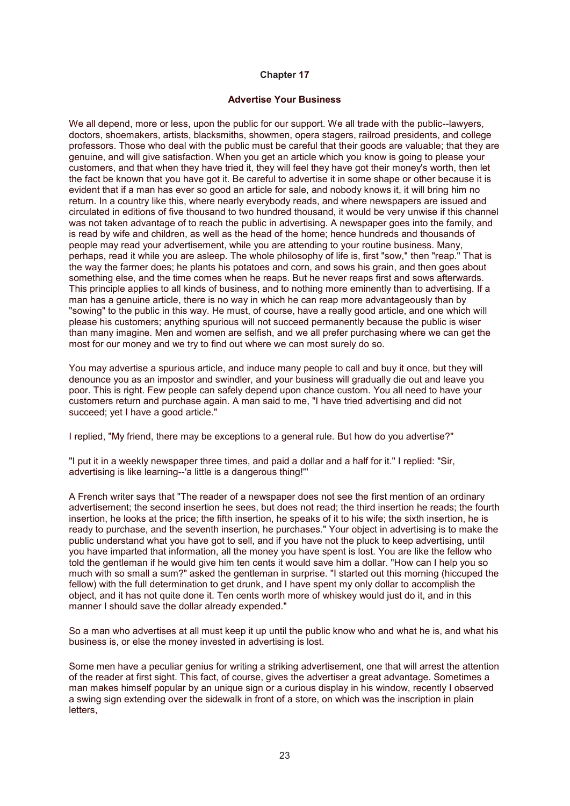## **Advertise Your Business**

We all depend, more or less, upon the public for our support. We all trade with the public--lawyers, doctors, shoemakers, artists, blacksmiths, showmen, opera stagers, railroad presidents, and college professors. Those who deal with the public must be careful that their goods are valuable; that they are genuine, and will give satisfaction. When you get an article which you know is going to please your customers, and that when they have tried it, they will feel they have got their money's worth, then let the fact be known that you have got it. Be careful to advertise it in some shape or other because it is evident that if a man has ever so good an article for sale, and nobody knows it, it will bring him no return. In a country like this, where nearly everybody reads, and where newspapers are issued and circulated in editions of five thousand to two hundred thousand, it would be very unwise if this channel was not taken advantage of to reach the public in advertising. A newspaper goes into the family, and is read by wife and children, as well as the head of the home; hence hundreds and thousands of people may read your advertisement, while you are attending to your routine business. Many, perhaps, read it while you are asleep. The whole philosophy of life is, first "sow," then "reap." That is the way the farmer does; he plants his potatoes and corn, and sows his grain, and then goes about something else, and the time comes when he reaps. But he never reaps first and sows afterwards. This principle applies to all kinds of business, and to nothing more eminently than to advertising. If a man has a genuine article, there is no way in which he can reap more advantageously than by "sowing" to the public in this way. He must, of course, have a really good article, and one which will please his customers; anything spurious will not succeed permanently because the public is wiser than many imagine. Men and women are selfish, and we all prefer purchasing where we can get the most for our money and we try to find out where we can most surely do so.

You may advertise a spurious article, and induce many people to call and buy it once, but they will denounce you as an impostor and swindler, and your business will gradually die out and leave you poor. This is right. Few people can safely depend upon chance custom. You all need to have your customers return and purchase again. A man said to me, "I have tried advertising and did not succeed; yet I have a good article."

I replied, "My friend, there may be exceptions to a general rule. But how do you advertise?"

"I put it in a weekly newspaper three times, and paid a dollar and a half for it." I replied: "Sir, advertising is like learning--'a little is a dangerous thing!'"

A French writer says that "The reader of a newspaper does not see the first mention of an ordinary advertisement; the second insertion he sees, but does not read; the third insertion he reads; the fourth insertion, he looks at the price; the fifth insertion, he speaks of it to his wife; the sixth insertion, he is ready to purchase, and the seventh insertion, he purchases." Your object in advertising is to make the public understand what you have got to sell, and if you have not the pluck to keep advertising, until you have imparted that information, all the money you have spent is lost. You are like the fellow who told the gentleman if he would give him ten cents it would save him a dollar. "How can I help you so much with so small a sum?" asked the gentleman in surprise. "I started out this morning (hiccuped the fellow) with the full determination to get drunk, and I have spent my only dollar to accomplish the object, and it has not quite done it. Ten cents worth more of whiskey would just do it, and in this manner I should save the dollar already expended."

So a man who advertises at all must keep it up until the public know who and what he is, and what his business is, or else the money invested in advertising is lost.

Some men have a peculiar genius for writing a striking advertisement, one that will arrest the attention of the reader at first sight. This fact, of course, gives the advertiser a great advantage. Sometimes a man makes himself popular by an unique sign or a curious display in his window, recently I observed a swing sign extending over the sidewalk in front of a store, on which was the inscription in plain **letters**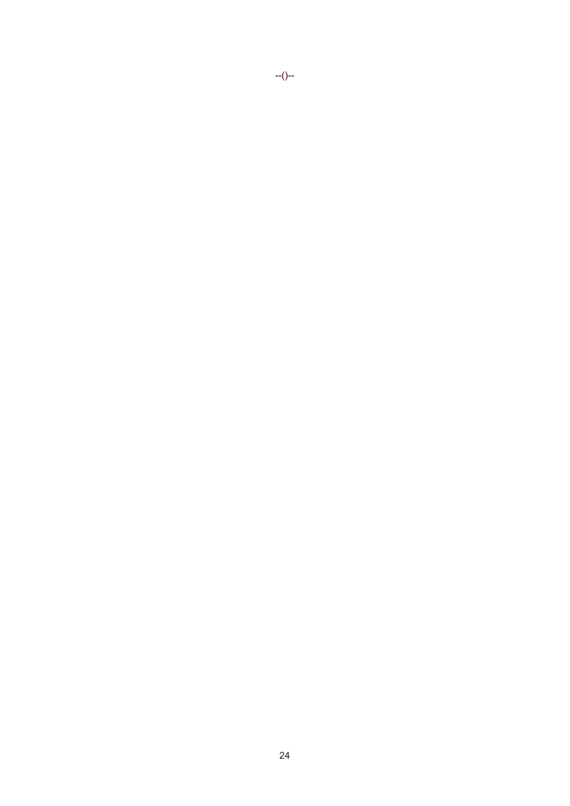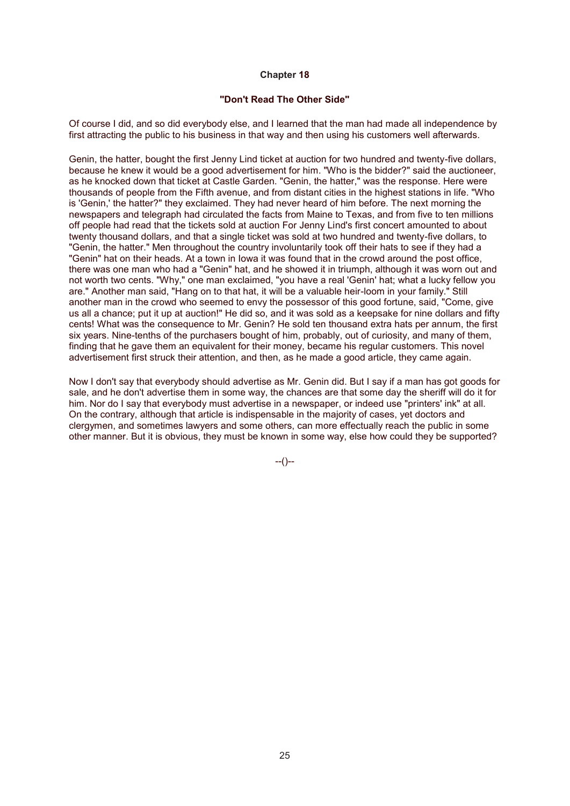## **"Don't Read The Other Side"**

Of course I did, and so did everybody else, and I learned that the man had made all independence by first attracting the public to his business in that way and then using his customers well afterwards.

Genin, the hatter, bought the first Jenny Lind ticket at auction for two hundred and twenty-five dollars, because he knew it would be a good advertisement for him. "Who is the bidder?" said the auctioneer, as he knocked down that ticket at Castle Garden. "Genin, the hatter," was the response. Here were thousands of people from the Fifth avenue, and from distant cities in the highest stations in life. "Who is 'Genin,' the hatter?" they exclaimed. They had never heard of him before. The next morning the newspapers and telegraph had circulated the facts from Maine to Texas, and from five to ten millions off people had read that the tickets sold at auction For Jenny Lind's first concert amounted to about twenty thousand dollars, and that a single ticket was sold at two hundred and twenty-five dollars, to "Genin, the hatter." Men throughout the country involuntarily took off their hats to see if they had a "Genin" hat on their heads. At a town in Iowa it was found that in the crowd around the post office, there was one man who had a "Genin" hat, and he showed it in triumph, although it was worn out and not worth two cents. "Why," one man exclaimed, "you have a real 'Genin' hat; what a lucky fellow you are." Another man said, "Hang on to that hat, it will be a valuable heir-loom in your family." Still another man in the crowd who seemed to envy the possessor of this good fortune, said, "Come, give us all a chance; put it up at auction!" He did so, and it was sold as a keepsake for nine dollars and fifty cents! What was the consequence to Mr. Genin? He sold ten thousand extra hats per annum, the first six years. Nine-tenths of the purchasers bought of him, probably, out of curiosity, and many of them, finding that he gave them an equivalent for their money, became his regular customers. This novel advertisement first struck their attention, and then, as he made a good article, they came again.

Now I don't say that everybody should advertise as Mr. Genin did. But I say if a man has got goods for sale, and he don't advertise them in some way, the chances are that some day the sheriff will do it for him. Nor do I say that everybody must advertise in a newspaper, or indeed use "printers' ink" at all. On the contrary, although that article is indispensable in the majority of cases, yet doctors and clergymen, and sometimes lawyers and some others, can more effectually reach the public in some other manner. But it is obvious, they must be known in some way, else how could they be supported?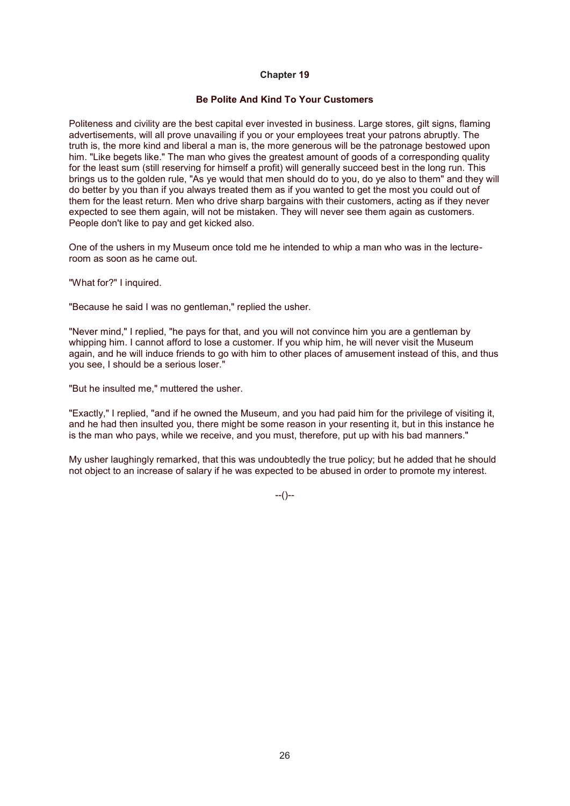## **Be Polite And Kind To Your Customers**

Politeness and civility are the best capital ever invested in business. Large stores, gilt signs, flaming advertisements, will all prove unavailing if you or your employees treat your patrons abruptly. The truth is, the more kind and liberal a man is, the more generous will be the patronage bestowed upon him. "Like begets like." The man who gives the greatest amount of goods of a corresponding quality for the least sum (still reserving for himself a profit) will generally succeed best in the long run. This brings us to the golden rule, "As ye would that men should do to you, do ye also to them" and they will do better by you than if you always treated them as if you wanted to get the most you could out of them for the least return. Men who drive sharp bargains with their customers, acting as if they never expected to see them again, will not be mistaken. They will never see them again as customers. People don't like to pay and get kicked also.

One of the ushers in my Museum once told me he intended to whip a man who was in the lectureroom as soon as he came out.

"What for?" I inquired.

"Because he said I was no gentleman," replied the usher.

"Never mind," I replied, "he pays for that, and you will not convince him you are a gentleman by whipping him. I cannot afford to lose a customer. If you whip him, he will never visit the Museum again, and he will induce friends to go with him to other places of amusement instead of this, and thus you see, I should be a serious loser."

"But he insulted me," muttered the usher.

"Exactly," I replied, "and if he owned the Museum, and you had paid him for the privilege of visiting it, and he had then insulted you, there might be some reason in your resenting it, but in this instance he is the man who pays, while we receive, and you must, therefore, put up with his bad manners."

My usher laughingly remarked, that this was undoubtedly the true policy; but he added that he should not object to an increase of salary if he was expected to be abused in order to promote my interest.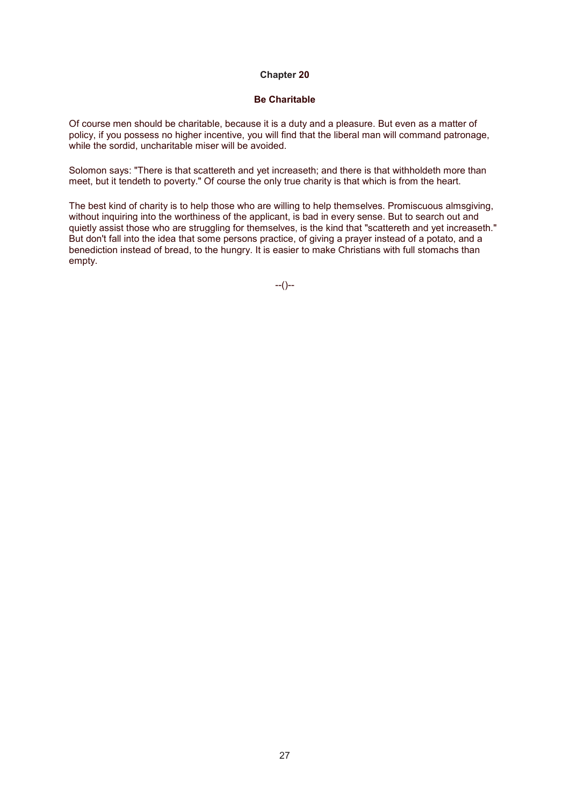## **Be Charitable**

Of course men should be charitable, because it is a duty and a pleasure. But even as a matter of policy, if you possess no higher incentive, you will find that the liberal man will command patronage, while the sordid, uncharitable miser will be avoided.

Solomon says: "There is that scattereth and yet increaseth; and there is that withholdeth more than meet, but it tendeth to poverty." Of course the only true charity is that which is from the heart.

The best kind of charity is to help those who are willing to help themselves. Promiscuous almsgiving, without inquiring into the worthiness of the applicant, is bad in every sense. But to search out and quietly assist those who are struggling for themselves, is the kind that "scattereth and yet increaseth." But don't fall into the idea that some persons practice, of giving a prayer instead of a potato, and a benediction instead of bread, to the hungry. It is easier to make Christians with full stomachs than empty.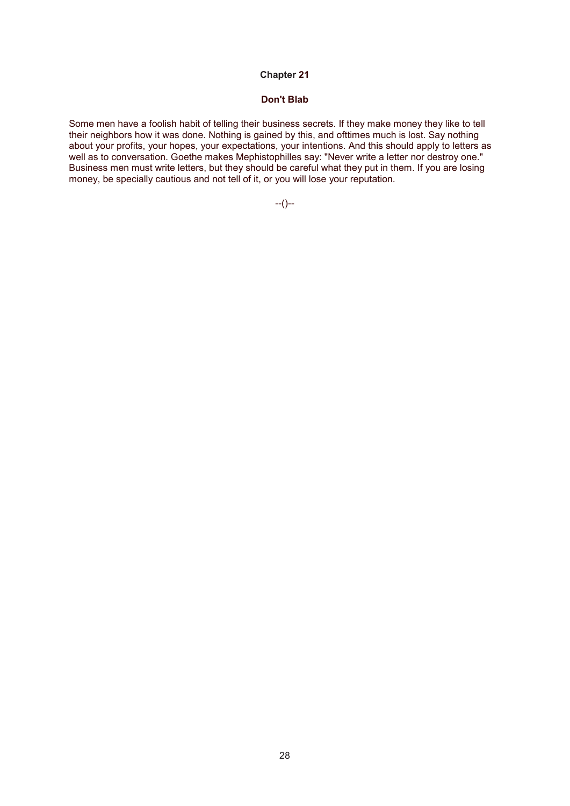## **Don't Blab**

Some men have a foolish habit of telling their business secrets. If they make money they like to tell their neighbors how it was done. Nothing is gained by this, and ofttimes much is lost. Say nothing about your profits, your hopes, your expectations, your intentions. And this should apply to letters as well as to conversation. Goethe makes Mephistophilles say: "Never write a letter nor destroy one." Business men must write letters, but they should be careful what they put in them. If you are losing money, be specially cautious and not tell of it, or you will lose your reputation.